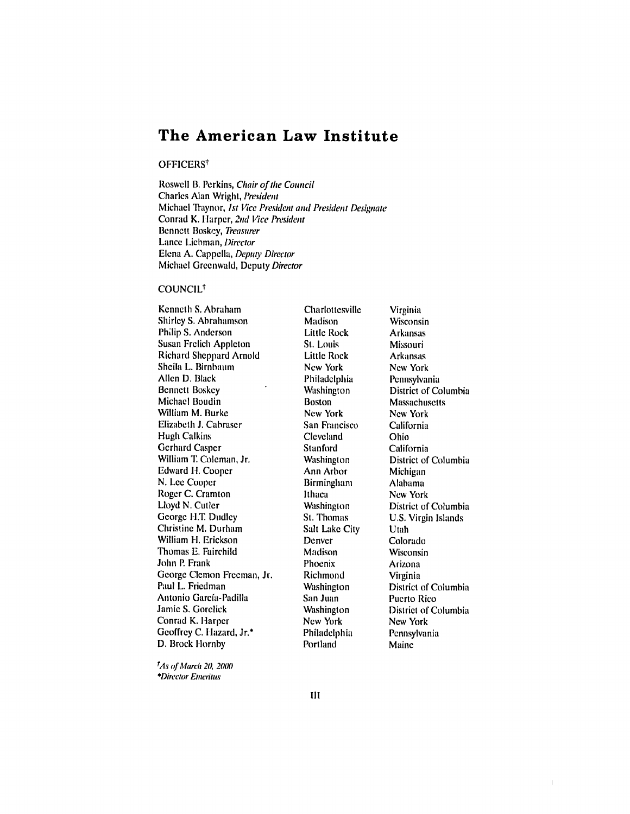# **The American Law Institute**

### OFFICERS<sup>†</sup>

Roswell B. Perkins, Chair of *the Council* Charles Alan Wright, President Michael Traynor, *1st* Vice President and President Designate Conrad K. Harper, 2nd Vice President Bennett Boskey, Treasurer Lance Liebman, Director Elena A. Cappella, Deputy Director Michael Greenwald, Deputy Director

## COUNCIL

Kcnneth **S.** Abraham Shirley S. Abrahamson Philip **S.** Anderson Susan Frelich Appleton Richard Sheppard Arnold Sheila L. Birnbaum Allen D. Black Bennett Boskey Michael Boudin William M. Burke Elizabeth J. Cabraser Hugh Calkins Gerhard Casper William T. Coleman, Jr. Edward **11.** Cooper N. Lee Cooper Roger C. Cramton Lloyd N. Cutler George H.T. Dudley Christine M. Durham William **If.** Erickson Thomas E. Fairchild John P. Frank George Clemon Freeman, Jr. Paul L. Friedman Antonio Garcfa-Padilla Jamie S. Gorelick Conrad K. Harper Geoffrey C. Hazard, Jr.\* D. Brock Hornby

*tAs of* March 20, 2000 \*Director Emeritus

**Charlottesville Madison** Little Rock St. Louis Little Rock New York Philadelphia Washington Boston New York San Francisco Cleveland Stanford Washington Ann Arbor **Birmingham** Ithaca Washington St. Thomas Salt Lake City Denver Madison Phoenix Richmond Washington San Juan Washington New York Philadelphia Portland

Virginia Wisconsin Arkansas Missouri Arkansas New York Pennsylvania District of Columbia **Massachusetts** New York California Ohio California District of Columbia Michigan Alabama New York District of Columbia U.S. Virgin Islands Utah Colorado Wisconsin Arizona Virginia District of Columbia Puerto Rico District of Columbia New York Pennsylvania Maine

 $\mathbb T$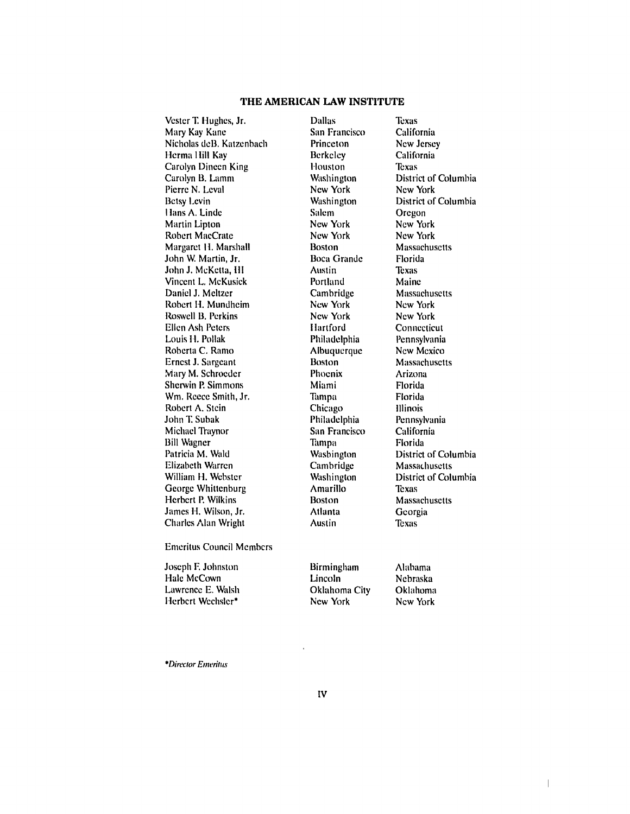# **THE AMERICAN LAW INSTITUTE**

Vester **T.** Hughes, Jr. Dallas Texas Mary Kay Kane San Francisco California<br>
Nicholas deB. Katzenbach Princeton New Jersey Nicholas deB. Katzenbach Herma Hill Kay **Berkeley** California<br>
Carolyn Dineen King Houston Texas **Carolyn Dineen King Thouston**<br> **Carolyn B. Lamm** Washington Pierre N. Leval New York New York New York Betsy Levin Washington District of Columbia I lans A. Linde Salem Oregon Martin Lipton Robert MacCrate New York New York New York Margaret H. Marshall Boston Massachusetts<br>
John W. Martin, Jr. Boca Grande Florida John W. Martin, Jr. Boca Grande Florida John J. McKetta, **Ill** Austin Texas Vincent L. McKusick Portland Maine Daniel J. Meltzer Cambridge Massachusetts Robert H. Mundheim New York New York Roswell B. Perkins New York New York New York **Ellen Ash Peters <b>I I**lartford Connecticut Louis **1-.** Pollak Philadelphia Pennsylvania Roberta C. Ramo Albuquerque New Mexico Ernest J. Sargeant Boston Massachusetts Mary M. Schroeder Phoenix Arizona Sherwin P. Simmons Miami Miami Florida Wm. Reece Smith, Jr. Tampa Florida Robert A. Stein Chicago Illinois John T. Subak Philadelphia Pennsylvania Michael Traynor San Francisco California Bill Wagner Tampa Tampa Patricia M. Wald Washington District of Columbia Elizabeth Warren Cambridge Massachusetts William H. Webster Washington District of Columbia George Whittenburg **Amarillo** Texas Herbert P. Wilkins Boston Massachusetts James H. Wilson, Jr. Atlanta Georgia Charles Alan Wright Austin Texas

Washington District of Columbia<br>
New York New York

Emeritus Council Members

Joseph F. Johnston Hale McCown Lawrence E. Walsh Herbert Wechsler\*

Birmingham Lincoln Oklahoma City New York

Alabama Nebraska Oklahoma New York

 $\overline{\phantom{a}}$ 

*\*Director Emeritus*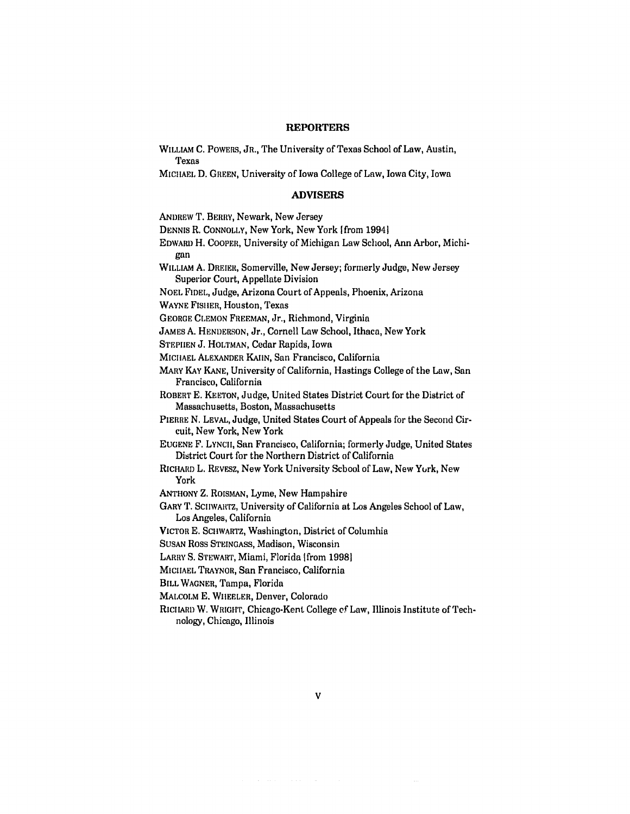#### **REPORTERS**

WILLIAM C. POWERS, JR., The University of Texas School of Law, Austin,

Texas MICHAEL D. GREEN, University of Iowa College of Law, Iowa City, Iowa **ADVISERS** ANDREW T. BERRY, Newark, New Jersey DENNIS R. CONNOLLY, New York, New York [from 19941 EDWARD H. COOPER, University of Michigan Law School, Ann Arbor, Michigan WILLIAM A. DREIER, Somerville, New Jersey; formerly Judge, New Jersey Superior Court, Appellate Division NOEL **FIDEL,** Judge, Arizona Court of Appeals, Phoenix, Arizona WAYNE FISIER, Houston, Texas GEORGE CLEMON FREEMAN, Jr., Richmond, Virginia JAMES A. HENDERSON, Jr., Cornell Law School, Ithaca, New York STEPHEN **J.** HOLTMAN, Cedar Rapids, Iowa MICIhAEL ALEXANDER KAIIN, San Francisco, California MARY KAY KANE, University of California, Hastings College of the Law, San Francisco, California ROBERT E. KEETON, Judge, United States District Court for the District of Massachusetts, Boston, Massachusetts PIERRE **N.** LEVAL, Judge, United States Court of Appeals for the Second Circuit, New York, New York EUGENE F. **LYNCII,** San Francisco, California; formerly Judge, United States District Court for the Northern District of California RICHARD L. REVESZ, New York University School of Law, New Yurk, New York **ANTHONY** Z. ROISMAN, Lyme, New Hampshire GARY T. SCIIWARTZ, University of California at Los Angeles School of Law, Los Angeles, California VICTOR E. SCHWARTZ, Washington, District of Columbia SUSAN Ross STEINGASS, Madison, Wisconsin LARRY S. STEWART, Miami, Florida [from 1998] MICIIAEL TRAYNOR, San Francisco, California BILL WAGNER, Tampa, Florida MALCOLM E. WHEELER, Denver, Colorado RICHARD W. WRIGHT, Chicago-Kent College **of** Law, Illinois Institute of Technology, Chicago, Illinois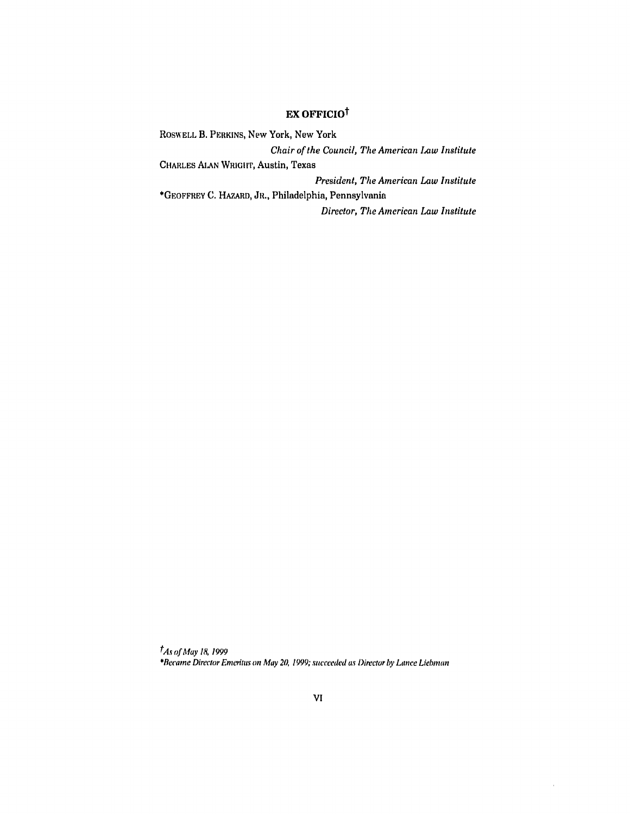# EX **OFFICIOt**

RoSW ELL B. PERKINS, New York, New York *Chair of the Council, The American Law Institute* CHARLES ALAN WRIGHT, Austin, Texas *President, The American Law Institute* \*GEOFFREY **C.** HAZARD, JR., Philadelphia, Pennsylvania *Director, The American Law Institute*

*tAs of May 18, 1999 \*Be(ane* Director *Emeritus* on May **20,** 1999; succeeded as *Director* by Lance Liebman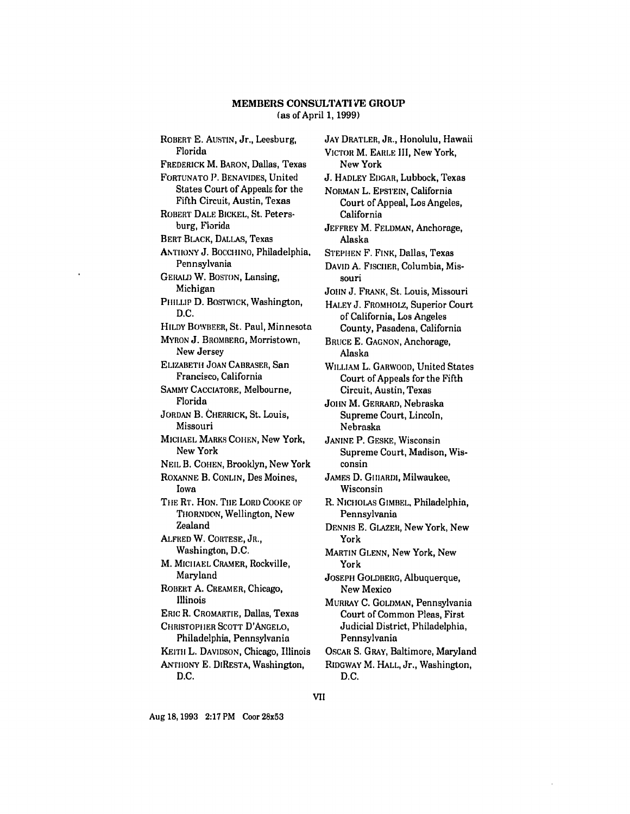### **MEMBERS CONSULTATIVE GROUT** (as of April **1,** 1999)

ROBERT E. AUSTIN, Jr., Leesburg, Florida FREDERICK M. BARON, Dallas, Texas FORTUNATO **1).** BENAVIDES, United States Court of Appeals for the Fifth Circuit, Austin, Texas ROBERT DALE BICKEL, St. Petersburg, Florida BERT BLACK, DALLAS, Texas **ANTHONY J. BOCCHINO, Philadelphia,** Pennsylvania GERALD W. BOSTON, Lansing, Michigan PHILLIP D. BOSTWICK, Washington, D.C. HILDY BOWBEER, St. Paul, Minnesota MYRON J. BROMBERG, Morristown, New Jersey ELIZABETH JOAN CABRASER, San Francisco, California SAMMY CACCIATORE, Melbourne, Florida JORDAN B. CHERRICK, St. Louis, Missouri MICHAEL MARKS COHEN, New York, New York NEIL B. COHEN, Brooklyn, New York ROXANNE B. CONLIN, Des Moines, Iowa **THE** RT. HON. THE LORD COOKE OF TIIORNDON, Wellington, New Zealand ALFRED W. CORTESE, JR., Washington, D.C. M. MICHAEL CRAMER, Rockville, Maryland ROBERT A. CREAMER, Chicago, Illinois ERIC R. CROMARTIE, Dallas, Texas CHRISTOPHER SCOTT D'ANGELO, Philadelphia, Pennsylvania KEITH L. DAVIDSON, Chicago, Illinois ANTHONY E. DIRESTA, Washington, D.C.

JAY DRATLER, JR., Honolulu, Hawaii VICTOR M. EARLE III, New York, New York J. HADLEY EDGAR, Lubbock, Texas NORMAN L. EPSTEIN, California Court of Appeal, Los Angeles, California JEFFREY M. FELDMAN, Anchorage, Alaska STEPHEN F. **FINK,** Dallas, Texas **DAVID A.** FISCIIER, Columbia, Missouri JOHN J. FRANK, St. Louis, Missouri HALEY **J.** FROMHOLZ, Superior Court of California, Los Angeles County, Pasadena, California BRUCE E. GAGNON, Anchorage, Alaska WILLIAM L. GARWOOD, United States Court of Appeals for the Fifth Circuit, Austin, Texas JOHN M. GERRARD, Nebraska Supreme Court, Lincoln, Nebraska JANINE P. GESKE, Wisconsin Supreme Court, Madison, Wisconsin JAMES D. GIIIARDI, Milwaukee, Wisconsin R. NICHOLAS GIMBEL, Philadelphia, Pennsylvania DENNIS E. GLAZER, New York, New York MARTIN GLENN, New York, New York JOSEPH GOLDBERG, Albuquerque, New Mexico MURRAY C. GOLDMAN, Pennsylvania Court of Common Pleas, First Judicial District, Philadelphia, Pennsylvania OSCAR S. GRAY, Baltimore, Maryland RIDGWAY M. HALL, Jr., Washington, D.C.

VII

Aug 18, **1993** 2:17 PM Coor 28x53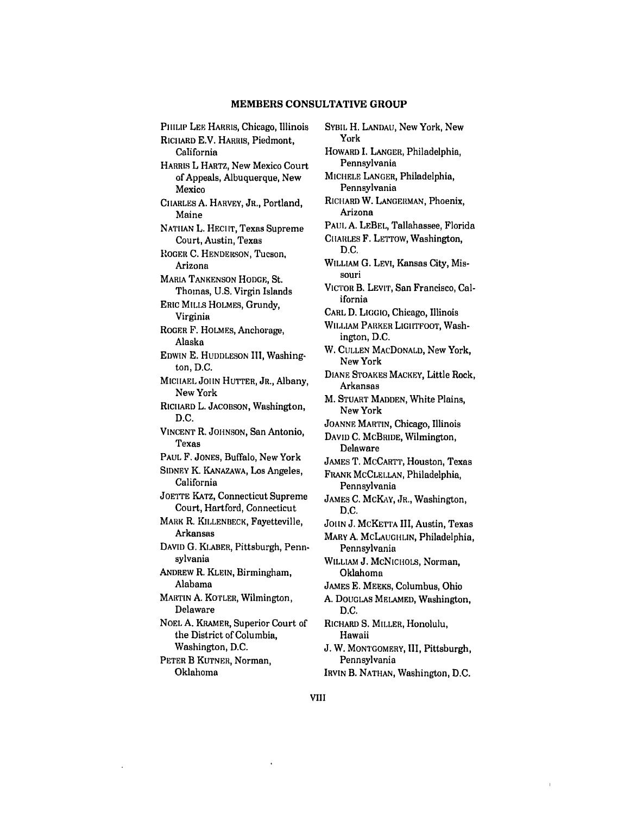### **MEMBERS CONSULTATIVE GROUP**

PHILIP LEE HARRIS, Chicago, Illinois **RICHARD E.V. HARRIS, Piedmont,** California HARRIS L HARTZ, New Mexico Court of Appeals, Albuquerque, New Mexico CIIARLES **A.** HARVEY, JR., Portland, Maine NATILAN L. **HECIIT,** Texas Supreme Court, Austin, Texas I.OGER **C.** HENDERSON, Tucson, Arizona MARIA TANKENSON HODGE, St. Thomas, U.S. Virgin Islands ERIC MILLS HOLMES, Grundy, Virginia ROGER F. HOLMES, Anchorage, Alaska **EDWIN E.** HUDDLESON III, Washington, D.C. MICHAEL JOHN **HUTTER,** JR., Albany, New York RICiARD L. JACOBSON, Washington, D.C. VINCENT R. JOHNSON, San Antonio, Texas PAUL F. JONES, Buffalo, New York SIDNEY K. KANAZAWA, Los Angeles, California JOETTE KATZ, Connecticut Supreme Court, Hartford, Connecticut MARK R. KILLENBECK, Fayetteville, Arkansas **DAVID G.** KLABER, Pittsburgh, Pennsylvania ANDREW R. KLEIN, Birmingham, Alabama MARTIN A. KOTLER, Wilmington, Delaware NOEL **A.** KRAMER, Superior Court of the District of Columbia, Washington, D.C. PETER B KUTNER, Norman, Oklahoma

SYBIL H. LANDAU, New York, New York HOWARD I. **LANGER,** Philadelphia, Pennsylvania MICHELE LANGER, Philadelphia, Pennsylvania RICHARD W. LANGERMAN, Phoenix, Arizona PAUL A. LEBEL, Tallahassee, Florida CIIARLES F. LETTOW, Washington, **D.C.** WILLIAM **G.** LEVI, Kansas City, Missouri VICTOR B. LEVIT, San Francisco, California CARL **D.** LIGGIO, Chicago, Illinois WILLIAM PARKER LIGIITFOOT, Washington, D.C. W. CULLEN MACDONALD, New York, New York DIANE STOAKES MACKEY, Little Rock, Arkansas M. STUART MADDEN, White Plains, New York JOANNE MARTIN, Chicago, Illinois **DAVID** C. McBRIDE, Wilmington, Delaware JAMES T. MCCARTT, Houston, Texas FRANK MCCLELLAN, Philadelphia, Pennsylvania JAMES **C.** MCKAY, JR., Washington, D.C. JOHN J. MCKETTA III, Austin, Texas MARY A. MCLAUGIILIN, Philadelphia, Pennsylvania WILLIAM J. McNICHOLS, Norman, Oklahoma JAMES **E.** MEEKS, Columbus, Ohio **A.** DOUGLAS MELAMED, Washington, D.C. RICHARD **S.** MILLER, Honolulu, Hawaii J. W. MONTGOMERY, **I1,** Pittsburgh, Pennsylvania

IRVIN B. NATHAN, Washington, **D.C.**

**VIII**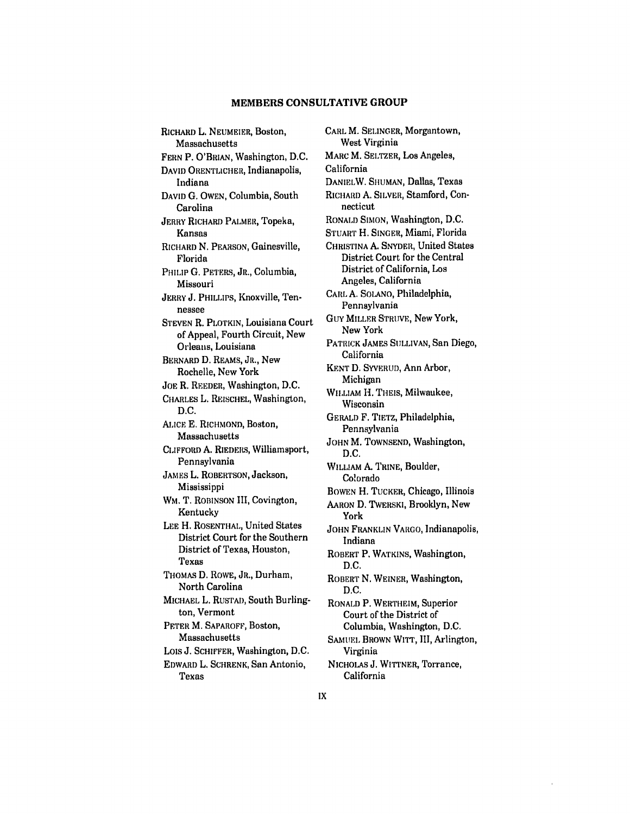### **MEMBERS CONSULTATIVE GROUP**

RICHARD L. NEUMEIER, Boston, Massachusetts FERN **P.** O'BRIAN, Washington, D.C. DAVID ORENTLICHER, Indianapolis, Indiana **DAVID G. OWEN,** Columbia, South Carolina JERRY RICHARD PALMER, Topeka, Kansas RICHARD N. PEARSON, Gainesville, Florida PHILIP G. PETERS, JR., Columbia, Missouri JERRY J. PHILLIPS, Knoxville, Tennessee STEVEN R. PLOTKIN, Louisiana Court of Appeal, Fourth Circuit, New Orleans, Louisiana BERNARD D. REAMS, JR., New Rochelle, New York **JOE** R. REEDER, Washington, D.C. CHARLES L. REISCHEL, Washington, D.C. ALICE **E.** RICHMOND, Boston, Massachusetts **CLIFFORD** A. RIEDERS, Williamsport, Pennsylvania JAMES L. ROBERTSON, Jackson, Mississippi WM. T. ROBINSON III, Covington, Kentucky LEE H. ROSENTHAL, United States District Court for the Southern District of Texas, Houston, Texas THOMAS **D.** ROWE, JR., Durham, North Carolina MICHAEL L. RUSTAD, South Burlington, Vermont PETER M. SAPAROFF, Boston, Massachusetts Lois J. SCHIFFER, Washington, D.C. EDWARD L. SCHRENK, San Antonio, Texas

CARL M. SELINGER, Morgantown, West Virginia MARC M. SELTZER, Los Angeles, California DANIELW. SHUMAN, Dallas, Texas RICHARD A. SILVER, Stamford, Connecticut RONALD SIMON, Washington, D.C. STUART H. **SINGER,** Miami, Florida CHRISTINA **A.** SNYDER, United States District Court for the Central District of California, Los Angeles, California CARL A. SOLANO, Philadelphia, Pennsylvania GUY MILLER STRUVE, New York, New York PATRICK JAMES SULLIVAN, San Diego, California KENT D. SYVERUD, Ann Arbor, Michigan WILLIAM H. THEIS, Milwaukee, Wisconsin GERALD F. TIETZ, Philadelphia, Pennsylvania JOHN M. TOWNSEND, Washington, D.C. WILLIAM A. TRINE, Boulder, Colorado BOWEN H. TUCKER, Chicago, Illinois AARON D. TWERSKI, Brooklyn, New York JOHN FRANKLIN VARGO, Indianapolis, Indiana ROBERT P. WATKINS, Washington, D.C. ROBERT N. WEINER, Washington, D.C. RONALD P. WERTHEIM, Superior Court of the District of Columbia, Washington, D.C. SAMUEL BROWN WITT, III, Arlington, Virginia NICHOLAS **J.** WITTNER, Torrance, California